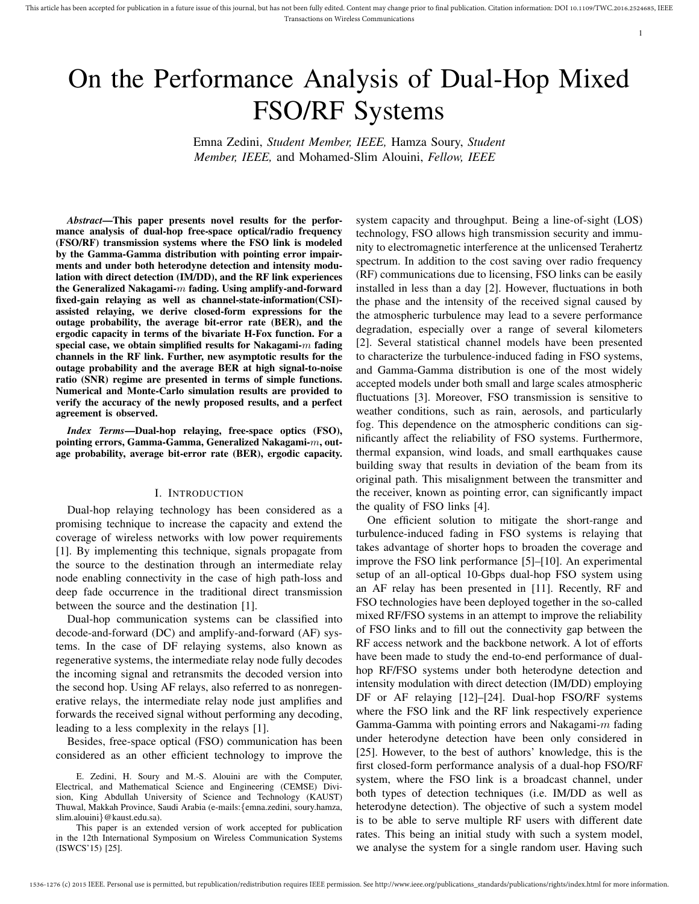This article has been accepted for publication in a future issue of this journal, but has not been fully edited. Content may change prior to final publication. Citation information: DOI 10.1109/TWC.2016.2524685, IEEE Transactions on Wireless Communications

1

# On the Performance Analysis of Dual-Hop Mixed FSO/RF Systems

Emna Zedini, *Student Member, IEEE,* Hamza Soury, *Student Member, IEEE,* and Mohamed-Slim Alouini, *Fellow, IEEE*

*Abstract*—This paper presents novel results for the performance analysis of dual-hop free-space optical/radio frequency (FSO/RF) transmission systems where the FSO link is modeled by the Gamma-Gamma distribution with pointing error impairments and under both heterodyne detection and intensity modulation with direct detection (IM/DD), and the RF link experiences the Generalized Nakagami- $m$  fading. Using amplify-and-forward fixed-gain relaying as well as channel-state-information(CSI) assisted relaying, we derive closed-form expressions for the outage probability, the average bit-error rate (BER), and the ergodic capacity in terms of the bivariate H-Fox function. For a special case, we obtain simplified results for Nakagami- $m$  fading channels in the RF link. Further, new asymptotic results for the outage probability and the average BER at high signal-to-noise ratio (SNR) regime are presented in terms of simple functions. Numerical and Monte-Carlo simulation results are provided to verify the accuracy of the newly proposed results, and a perfect agreement is observed.

*Index Terms*—Dual-hop relaying, free-space optics (FSO), pointing errors, Gamma-Gamma, Generalized Nakagami-m, outage probability, average bit-error rate (BER), ergodic capacity.

#### I. INTRODUCTION

Dual-hop relaying technology has been considered as a promising technique to increase the capacity and extend the coverage of wireless networks with low power requirements [1]. By implementing this technique, signals propagate from the source to the destination through an intermediate relay node enabling connectivity in the case of high path-loss and deep fade occurrence in the traditional direct transmission between the source and the destination [1].

Dual-hop communication systems can be classified into decode-and-forward (DC) and amplify-and-forward (AF) systems. In the case of DF relaying systems, also known as regenerative systems, the intermediate relay node fully decodes the incoming signal and retransmits the decoded version into the second hop. Using AF relays, also referred to as nonregenerative relays, the intermediate relay node just amplifies and forwards the received signal without performing any decoding, leading to a less complexity in the relays [1].

Besides, free-space optical (FSO) communication has been considered as an other efficient technology to improve the

E. Zedini, H. Soury and M.-S. Alouini are with the Computer, Electrical, and Mathematical Science and Engineering (CEMSE) Division, King Abdullah University of Science and Technology (KAUST) Thuwal, Makkah Province, Saudi Arabia (e-mails:{emna.zedini, soury.hamza, slim.alouini}@kaust.edu.sa).

This paper is an extended version of work accepted for publication in the 12th International Symposium on Wireless Communication Systems (ISWCS'15) [25].

system capacity and throughput. Being a line-of-sight (LOS) technology, FSO allows high transmission security and immunity to electromagnetic interference at the unlicensed Terahertz spectrum. In addition to the cost saving over radio frequency (RF) communications due to licensing, FSO links can be easily installed in less than a day [2]. However, fluctuations in both the phase and the intensity of the received signal caused by the atmospheric turbulence may lead to a severe performance degradation, especially over a range of several kilometers [2]. Several statistical channel models have been presented to characterize the turbulence-induced fading in FSO systems, and Gamma-Gamma distribution is one of the most widely accepted models under both small and large scales atmospheric fluctuations [3]. Moreover, FSO transmission is sensitive to weather conditions, such as rain, aerosols, and particularly fog. This dependence on the atmospheric conditions can significantly affect the reliability of FSO systems. Furthermore, thermal expansion, wind loads, and small earthquakes cause building sway that results in deviation of the beam from its original path. This misalignment between the transmitter and the receiver, known as pointing error, can significantly impact the quality of FSO links [4].

One efficient solution to mitigate the short-range and turbulence-induced fading in FSO systems is relaying that takes advantage of shorter hops to broaden the coverage and improve the FSO link performance [5]–[10]. An experimental setup of an all-optical 10-Gbps dual-hop FSO system using an AF relay has been presented in [11]. Recently, RF and FSO technologies have been deployed together in the so-called mixed RF/FSO systems in an attempt to improve the reliability of FSO links and to fill out the connectivity gap between the RF access network and the backbone network. A lot of efforts have been made to study the end-to-end performance of dualhop RF/FSO systems under both heterodyne detection and intensity modulation with direct detection (IM/DD) employing DF or AF relaying [12]–[24]. Dual-hop FSO/RF systems where the FSO link and the RF link respectively experience Gamma-Gamma with pointing errors and Nakagami- $m$  fading under heterodyne detection have been only considered in [25]. However, to the best of authors' knowledge, this is the first closed-form performance analysis of a dual-hop FSO/RF system, where the FSO link is a broadcast channel, under both types of detection techniques (i.e. IM/DD as well as heterodyne detection). The objective of such a system model is to be able to serve multiple RF users with different date rates. This being an initial study with such a system model, we analyse the system for a single random user. Having such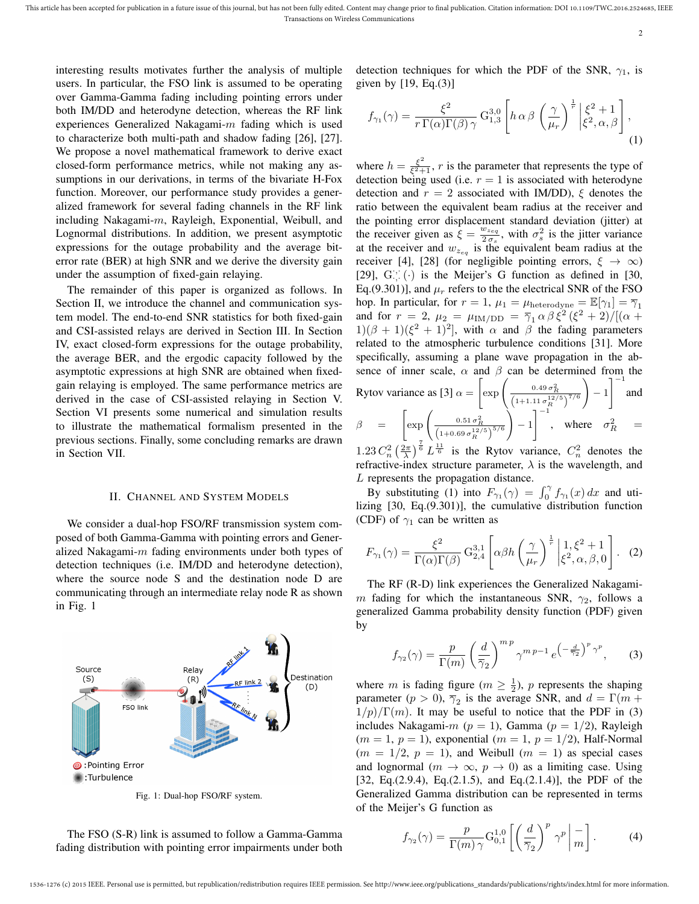interesting results motivates further the analysis of multiple users. In particular, the FSO link is assumed to be operating over Gamma-Gamma fading including pointing errors under both IM/DD and heterodyne detection, whereas the RF link experiences Generalized Nakagami-m fading which is used to characterize both multi-path and shadow fading [26], [27]. We propose a novel mathematical framework to derive exact closed-form performance metrics, while not making any assumptions in our derivations, in terms of the bivariate H-Fox function. Moreover, our performance study provides a generalized framework for several fading channels in the RF link including Nakagami-m, Rayleigh, Exponential, Weibull, and Lognormal distributions. In addition, we present asymptotic expressions for the outage probability and the average biterror rate (BER) at high SNR and we derive the diversity gain under the assumption of fixed-gain relaying.

The remainder of this paper is organized as follows. In Section II, we introduce the channel and communication system model. The end-to-end SNR statistics for both fixed-gain and CSI-assisted relays are derived in Section III. In Section IV, exact closed-form expressions for the outage probability, the average BER, and the ergodic capacity followed by the asymptotic expressions at high SNR are obtained when fixedgain relaying is employed. The same performance metrics are derived in the case of CSI-assisted relaying in Section V. Section VI presents some numerical and simulation results to illustrate the mathematical formalism presented in the previous sections. Finally, some concluding remarks are drawn in Section VII.

#### II. CHANNEL AND SYSTEM MODELS

We consider a dual-hop FSO/RF transmission system composed of both Gamma-Gamma with pointing errors and Generalized Nakagami- $m$  fading environments under both types of detection techniques (i.e. IM/DD and heterodyne detection), where the source node S and the destination node D are communicating through an intermediate relay node R as shown in Fig. 1



Fig. 1: Dual-hop FSO/RF system.

The FSO (S-R) link is assumed to follow a Gamma-Gamma fading distribution with pointing error impairments under both detection techniques for which the PDF of the SNR,  $\gamma_1$ , is given by  $[19, Eq.(3)]$ 

$$
f_{\gamma_1}(\gamma) = \frac{\xi^2}{r \Gamma(\alpha) \Gamma(\beta) \gamma} G_{1,3}^{3,0} \left[ h \alpha \beta \left( \frac{\gamma}{\mu_r} \right)^{\frac{1}{r}} \begin{vmatrix} \xi^2 + 1 \\ \xi^2, \alpha, \beta \end{vmatrix}, \right]
$$
(1)

where  $h = \frac{\xi^2}{\xi^2 + \xi^2}$  $\frac{\xi^2}{\xi^2+1}$ , r is the parameter that represents the type of detection being used (i.e.  $r = 1$  is associated with heterodyne detection and  $r = 2$  associated with IM/DD),  $\xi$  denotes the ratio between the equivalent beam radius at the receiver and the pointing error displacement standard deviation (jitter) at the receiver given as  $\dot{\xi} = \frac{w_{z}_{eq}}{2\pi}$  $rac{w_{z_{eq}}}{2 \sigma_s}$ , with  $\sigma_s^2$  is the jitter variance at the receiver and  $w_{z_{eq}}$  is the equivalent beam radius at the receiver [4], [28] (for negligible pointing errors,  $\xi \rightarrow \infty$ ) [29],  $G$ ; (·) is the Meijer's G function as defined in [30, Eq.(9.301)], and  $\mu_r$  refers to the the electrical SNR of the FSO hop. In particular, for  $r = 1$ ,  $\mu_1 = \mu_{\text{heterodyne}} = \mathbb{E}[\gamma_1] = \overline{\gamma}_1$ and for  $r = 2$ ,  $\mu_2 = \mu_{\text{IM/DD}} = \overline{\gamma}_1 \alpha \beta \dot{\xi}^2 (\xi^2 + 2) / [(\alpha +$  $1/(\beta + 1)(\xi^2 + 1)^2$ , with  $\alpha$  and  $\beta$  the fading parameters related to the atmospheric turbulence conditions [31]. More specifically, assuming a plane wave propagation in the absence of inner scale,  $\alpha$  and  $\beta$  can be determined from the  $1^{-1}$ 

Bytov variance as [3] 
$$
\alpha = \left[ \exp \left( \frac{0.49 \sigma_R^2}{\left( 1 + 1.11 \sigma_R^{12/5} \right)^{7/6}} \right) - 1 \right]^{-1}
$$
 and

\n
$$
\beta = \left[ \exp \left( \frac{0.51 \sigma_R^2}{\left( 1 + 0.69 \sigma_R^{12/5} \right)^{5/6}} \right) - 1 \right]^{-1}
$$
, where  $\sigma_R^2 =$ 

 $1.23 C_n^2 \left(\frac{2\pi}{\lambda}\right)^{\frac{7}{6}} L^{\frac{11}{6}}$  is the Rytov variance,  $C_n^2$  denotes the refractive-index structure parameter,  $\lambda$  is the wavelength, and L represents the propagation distance.

By substituting (1) into  $F_{\gamma_1}(\gamma) = \int_0^{\gamma} f_{\gamma_1}(x) dx$  and utilizing [30, Eq.(9.301)], the cumulative distribution function (CDF) of  $\gamma_1$  can be written as

$$
F_{\gamma_1}(\gamma) = \frac{\xi^2}{\Gamma(\alpha)\Gamma(\beta)} G_{2,4}^{3,1} \left[ \alpha \beta h \left( \frac{\gamma}{\mu_r} \right)^{\frac{1}{r}} \begin{vmatrix} 1, \xi^2 + 1\\ \xi^2, \alpha, \beta, 0 \end{vmatrix} . \tag{2}
$$

The RF (R-D) link experiences the Generalized Nakagamim fading for which the instantaneous SNR,  $\gamma_2$ , follows a generalized Gamma probability density function (PDF) given by

$$
f_{\gamma_2}(\gamma) = \frac{p}{\Gamma(m)} \left(\frac{d}{\overline{\gamma}_2}\right)^{m p} \gamma^{m p - 1} e^{-\frac{d}{\overline{\gamma}_2} \gamma^p}, \qquad (3)
$$

where *m* is fading figure ( $m \ge \frac{1}{2}$ ), *p* represents the shaping parameter ( $p > 0$ ),  $\overline{\gamma}_2$  is the average SNR, and  $d = \Gamma(m + 1)$  $1/p)/\Gamma(m)$ . It may be useful to notice that the PDF in (3) includes Nakagami- $m$  ( $p = 1$ ), Gamma ( $p = 1/2$ ), Rayleigh  $(m = 1, p = 1)$ , exponential  $(m = 1, p = 1/2)$ , Half-Normal  $(m = 1/2, p = 1)$ , and Weibull  $(m = 1)$  as special cases and lognormal  $(m \to \infty, p \to 0)$  as a limiting case. Using [32, Eq.(2.9.4), Eq.(2.1.5), and Eq.(2.1.4)], the PDF of the Generalized Gamma distribution can be represented in terms of the Meijer's G function as

$$
f_{\gamma_2}(\gamma) = \frac{p}{\Gamma(m)\,\gamma} \mathcal{G}_{0,1}^{1,0} \left[ \left( \frac{d}{\overline{\gamma}_2} \right)^p \gamma^p \bigg| \frac{-}{m} \right]. \tag{4}
$$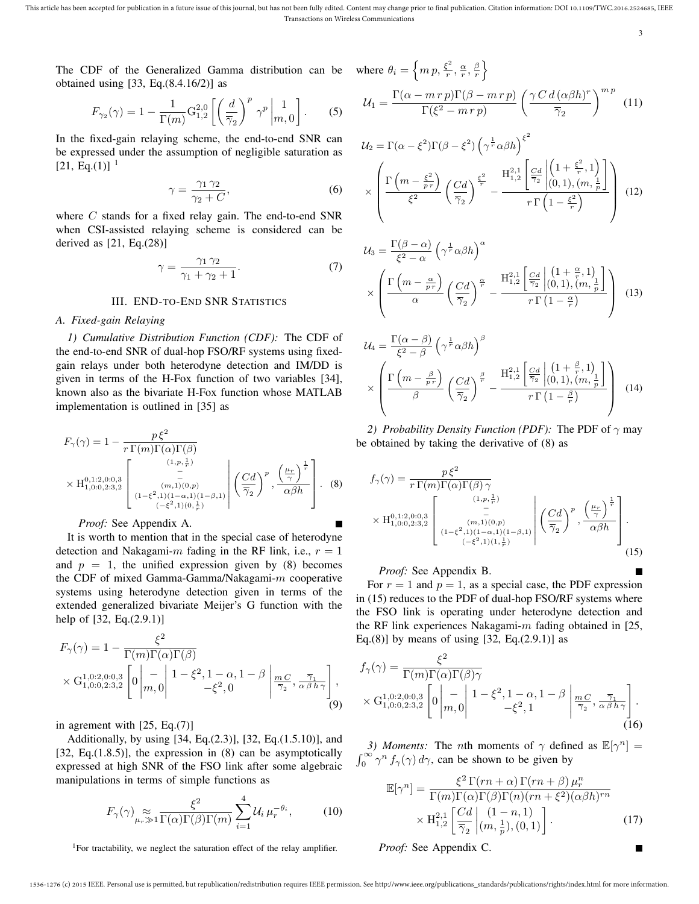This article has been accepted for publication in a future issue of this journal, but has not been fully edited. Content may change prior to final publication. Citation information: DOI 10.1109/TWC.2016.2524685, IEEE Transactions on Wireless Communications

3

П

П

The CDF of the Generalized Gamma distribution can be obtained using [33, Eq.(8.4.16/2)] as

$$
F_{\gamma_2}(\gamma) = 1 - \frac{1}{\Gamma(m)} \mathcal{G}_{1,2}^{2,0} \left[ \left( \frac{d}{\overline{\gamma}_2} \right)^p \gamma^p \bigg|_{m,0}^{-1} \right].
$$
 (5)

In the fixed-gain relaying scheme, the end-to-end SNR can be expressed under the assumption of negligible saturation as  $[21, Eq.(1)]$ <sup>1</sup>

$$
\gamma = \frac{\gamma_1 \gamma_2}{\gamma_2 + C},\tag{6}
$$

where  $C$  stands for a fixed relay gain. The end-to-end SNR when CSI-assisted relaying scheme is considered can be derived as [21, Eq.(28)]

$$
\gamma = \frac{\gamma_1 \gamma_2}{\gamma_1 + \gamma_2 + 1}.\tag{7}
$$

#### III. END-TO-END SNR STATISTICS

#### *A. Fixed-gain Relaying*

*1) Cumulative Distribution Function (CDF):* The CDF of the end-to-end SNR of dual-hop FSO/RF systems using fixedgain relays under both heterodyne detection and IM/DD is given in terms of the H-Fox function of two variables [34], known also as the bivariate H-Fox function whose MATLAB implementation is outlined in [35] as

$$
F_{\gamma}(\gamma) = 1 - \frac{p\xi^{2}}{r \Gamma(m)\Gamma(\alpha)\Gamma(\beta)}
$$
  
 
$$
\times \mathcal{H}_{1,0:0,2:3,2}^{0,1:2,0:0,3} \left[ \begin{array}{c} (1,p,\frac{1}{r}) \\ - \\ (m,1)(0,p) \\ (1-\xi^{2},1)(1-\alpha,1)(1-\beta,1) \end{array} \middle| \begin{array}{c} (2d)^{p}, \left(\frac{\mu_{r}}{\gamma}\right)^{\frac{1}{r}} \\ \left(\frac{\gamma}{\gamma_{2}}\right)^{p}, \frac{\left(\frac{\mu_{r}}{\gamma}\right)^{\frac{1}{r}}}{\alpha\beta h} \end{array} \right]. (8)
$$

#### *Proof:* See Appendix A.

It is worth to mention that in the special case of heterodyne detection and Nakagami-m fading in the RF link, i.e.,  $r = 1$ and  $p = 1$ , the unified expression given by (8) becomes the CDF of mixed Gamma-Gamma/Nakagami-m cooperative systems using heterodyne detection given in terms of the extended generalized bivariate Meijer's G function with the help of [32, Eq.(2.9.1)]

$$
F_{\gamma}(\gamma) = 1 - \frac{\xi^2}{\Gamma(m)\Gamma(\alpha)\Gamma(\beta)}
$$
  
 
$$
\times \mathcal{G}_{1,0:0,2:3,2}^{1,0:2,0:0,3} \left[0\left|\frac{-}{m,0}\right| \frac{1-\xi^2, 1-\alpha, 1-\beta}{-\xi^2,0} \left|\frac{m_C}{\overline{\gamma}_2}, \frac{\overline{\gamma}_1}{\alpha\beta h\gamma}\right|\right],
$$
  
(9)

in agrement with [25, Eq.(7)]

Additionally, by using [34, Eq.(2.3)], [32, Eq.(1.5.10)], and [32, Eq. $(1.8.5)$ ], the expression in  $(8)$  can be asymptotically expressed at high SNR of the FSO link after some algebraic manipulations in terms of simple functions as

$$
F_{\gamma}(\gamma) \underset{\mu_r \gg 1}{\approx} \frac{\xi^2}{\Gamma(\alpha)\Gamma(\beta)\Gamma(m)} \sum_{i=1}^{4} \mathcal{U}_i \,\mu_r^{-\theta_i},\tag{10}
$$

<sup>1</sup>For tractability, we neglect the saturation effect of the relay amplifier.

where 
$$
\theta_i = \left\{ m p, \frac{\xi^2}{r}, \frac{\alpha}{r}, \frac{\beta}{r} \right\}
$$
  

$$
\Gamma(\alpha - m r p) \Gamma(\beta - m r p) \left( \gamma C d \right)
$$

$$
\mathcal{U}_1 = \frac{\Gamma(\alpha - m \, r \, p) \Gamma(\beta - m \, r \, p)}{\Gamma(\xi^2 - m \, r \, p)} \left(\frac{\gamma \, C \, d \, (\alpha \beta h)^r}{\overline{\gamma}_2}\right)^{m \, p} \tag{11}
$$

 $\overline{2}$ 

$$
\mathcal{U}_2 = \Gamma(\alpha - \xi^2) \Gamma(\beta - \xi^2) \left(\gamma^{\frac{1}{r}} \alpha \beta h\right)^{\xi^2}
$$

$$
\times \left( \frac{\Gamma\left(m - \frac{\xi^2}{p \cdot r}\right)}{\xi^2} \left(\frac{Cd}{\overline{\gamma}_2}\right)^{\frac{\xi^2}{r}} - \frac{H_{1,2}^{2,1} \left[\frac{Cd}{\overline{\gamma}_2} \left| \left(1 + \frac{\xi^2}{r}, 1\right)\right|}{r \Gamma\left(1 - \frac{\xi^2}{r}\right)} \right) (12)
$$

$$
\mathcal{U}_{3} = \frac{\Gamma(\beta - \alpha)}{\xi^{2} - \alpha} \left( \gamma^{\frac{1}{r}} \alpha \beta h \right)^{\alpha} \times \left( \frac{\Gamma\left(m - \frac{\alpha}{p\,r}\right)}{\alpha} \left( \frac{Cd}{\overline{\gamma}_{2}} \right)^{\frac{\alpha}{r}} - \frac{H_{1,2}^{2,1} \left[ \frac{Cd}{\overline{\gamma}_{2}} \middle| (0,1), (m, \frac{1}{p}) \right]}{r \Gamma\left(1 - \frac{\alpha}{r}\right)} \right) (13)
$$

$$
\mathcal{U}_4 = \frac{\Gamma(\alpha - \beta)}{\xi^2 - \beta} \left(\gamma^{\frac{1}{r}} \alpha \beta h\right)^{\beta}
$$

$$
\times \left(\frac{\Gamma\left(m - \frac{\beta}{p\,r}\right)}{\beta} \left(\frac{Cd}{\overline{\gamma}_2}\right)^{\frac{\beta}{r}} - \frac{H_{1,2}^{2,1} \left[\frac{Cd}{\overline{\gamma}_2}\right] \left(0,1\right), \left(m, \frac{1}{p}\right)}{r \Gamma\left(1 - \frac{\beta}{r}\right)}\right) (14)
$$

*2) Probability Density Function (PDF):* The PDF of  $\gamma$  may be obtained by taking the derivative of (8) as

$$
f_{\gamma}(\gamma) = \frac{p\xi^2}{r\Gamma(m)\Gamma(\alpha)\Gamma(\beta)\gamma}
$$
  
 
$$
\times \mathcal{H}_{1,0:0,2:3,2}^{0,1:2,0:0,3} \left[\begin{array}{c} (1,p,\frac{1}{r})\\ - \\ - \\ (m,1)(0,p) \\ (-\xi^2,1)(1-\alpha,1)(1-\beta,1) \end{array}\right] \left(\frac{Cd}{\overline{\gamma}_2}\right)^p, \left(\frac{\mu_r}{\alpha\beta h}\right)^{\frac{1}{r}}.
$$
 (15)

*Proof:* See Appendix B.

For  $r = 1$  and  $p = 1$ , as a special case, the PDF expression in (15) reduces to the PDF of dual-hop FSO/RF systems where the FSO link is operating under heterodyne detection and the RF link experiences Nakagami- $m$  fading obtained in [25, Eq.(8)] by means of using  $[32, Eq.(2.9.1)]$  as

$$
f_{\gamma}(\gamma) = \frac{\xi^2}{\Gamma(m)\Gamma(\alpha)\Gamma(\beta)\gamma}
$$
  
 
$$
\times \mathcal{G}_{1,0:0,2:3,2}^{1,0:2,0:0,3} \left[0\left|\frac{-}{m,0}\right|1-\xi^2,1-\alpha,1-\beta\left|\frac{mC}{\overline{\gamma}_2},\frac{\overline{\gamma}_1}{\alpha\beta h\gamma}\right|\right].
$$
  
(16)

*3) Moments:* The *n*th moments of  $\gamma$  defined as  $\mathbb{E}[\gamma^n] =$  $\int_0^\infty \gamma^n f_\gamma(\gamma) d\gamma$ , can be shown to be given by

$$
\mathbb{E}[\gamma^n] = \frac{\xi^2 \Gamma(rn+\alpha) \Gamma(rn+\beta) \mu_r^n}{\Gamma(m)\Gamma(\alpha)\Gamma(\beta)\Gamma(n)(rn+\xi^2)(\alpha\beta h)^{rn}} \times \mathcal{H}_{1,2}^{2,1} \left[ \frac{Cd}{\overline{\gamma}_2} \middle| (n, \frac{1}{p}), (0, 1) \right].
$$
 (17)

*Proof:* See Appendix C.

<sup>1536-1276 (</sup>c) 2015 IEEE. Personal use is permitted, but republication/redistribution requires IEEE permission. See http://www.ieee.org/publications\_standards/publications/rights/index.html for more information.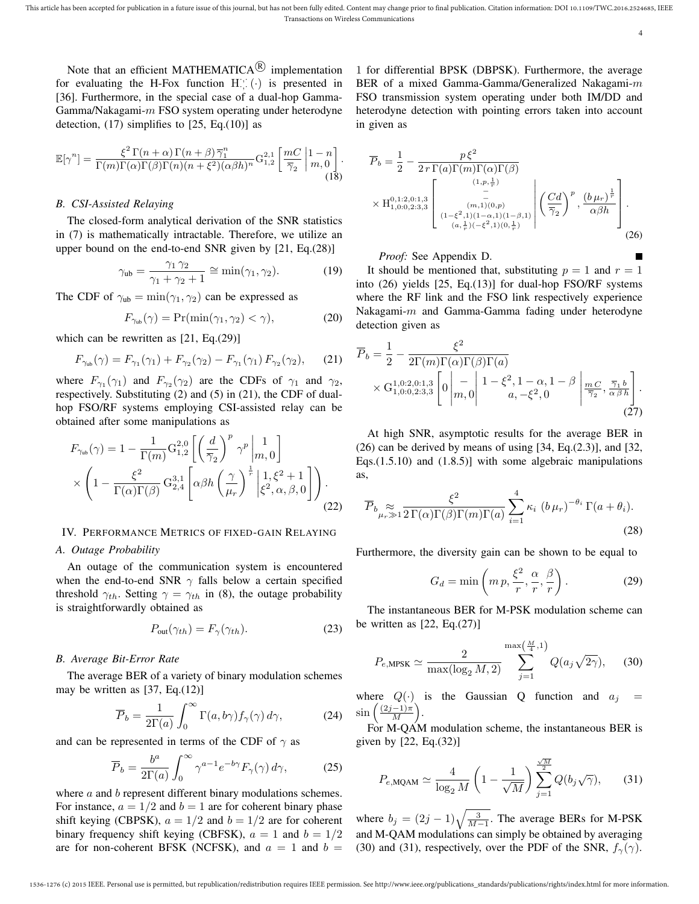Note that an efficient MATHEMATICA $\mathbb{R}$  implementation for evaluating the H-Fox function  $H^{\cdot,\cdot}_{\cdot,\cdot}(\cdot)$  is presented in [36]. Furthermore, in the special case of a dual-hop Gamma-Gamma/Nakagami- $m$  FSO system operating under heterodyne detection,  $(17)$  simplifies to  $[25, Eq.(10)]$  as

$$
\mathbb{E}[\gamma^n] = \frac{\xi^2 \Gamma(n+\alpha) \Gamma(n+\beta) \overline{\gamma}_1^n}{\Gamma(m)\Gamma(\alpha)\Gamma(\beta)\Gamma(n)(n+\xi^2)(\alpha\beta h)^n} G_{1,2}^{2,1} \left[ \frac{mC}{\overline{\gamma}_2} \middle| 1-n \atop m,0 \right].
$$
\n(18)

#### *B. CSI-Assisted Relaying*

The closed-form analytical derivation of the SNR statistics in (7) is mathematically intractable. Therefore, we utilize an upper bound on the end-to-end SNR given by [21, Eq.(28)]

$$
\gamma_{\rm ub} = \frac{\gamma_1 \gamma_2}{\gamma_1 + \gamma_2 + 1} \cong \min(\gamma_1, \gamma_2). \tag{19}
$$

The CDF of  $\gamma_{\rm ub} = \min(\gamma_1, \gamma_2)$  can be expressed as

$$
F_{\gamma_{\rm ub}}(\gamma) = \Pr(\min(\gamma_1, \gamma_2) < \gamma),\tag{20}
$$

which can be rewritten as [21, Eq.(29)]

$$
F_{\gamma_{ub}}(\gamma) = F_{\gamma_1}(\gamma_1) + F_{\gamma_2}(\gamma_2) - F_{\gamma_1}(\gamma_1) F_{\gamma_2}(\gamma_2), \qquad (21)
$$

where  $F_{\gamma_1}(\gamma_1)$  and  $F_{\gamma_2}(\gamma_2)$  are the CDFs of  $\gamma_1$  and  $\gamma_2$ , respectively. Substituting (2) and (5) in (21), the CDF of dualhop FSO/RF systems employing CSI-assisted relay can be obtained after some manipulations as

$$
F_{\gamma_{\rm ub}}(\gamma) = 1 - \frac{1}{\Gamma(m)} \mathcal{G}_{1,2}^{2,0} \left[ \left( \frac{d}{\overline{\gamma}_2} \right)^p \gamma^p \bigg|_{m,0}^{-1} \right] \times \left( 1 - \frac{\xi^2}{\Gamma(\alpha)\Gamma(\beta)} \mathcal{G}_{2,4}^{3,1} \left[ \alpha \beta h \left( \frac{\gamma}{\mu_r} \right)^{\frac{1}{r}} \bigg|_{\xi^2, \alpha, \beta, 0}^{1, \xi^2 + 1} \right] \right). \tag{22}
$$

#### IV. PERFORMANCE METRICS OF FIXED-GAIN RELAYING

#### *A. Outage Probability*

An outage of the communication system is encountered when the end-to-end SNR  $\gamma$  falls below a certain specified threshold  $\gamma_{th}$ . Setting  $\gamma = \gamma_{th}$  in (8), the outage probability is straightforwardly obtained as

$$
P_{\text{out}}(\gamma_{th}) = F_{\gamma}(\gamma_{th}). \tag{23}
$$

#### *B. Average Bit-Error Rate*

The average BER of a variety of binary modulation schemes may be written as [37, Eq.(12)]

$$
\overline{P}_b = \frac{1}{2\Gamma(a)} \int_0^\infty \Gamma(a, b\gamma) f_\gamma(\gamma) d\gamma,
$$
 (24)

and can be represented in terms of the CDF of  $\gamma$  as

$$
\overline{P}_b = \frac{b^a}{2\Gamma(a)} \int_0^\infty \gamma^{a-1} e^{-b\gamma} F_\gamma(\gamma) d\gamma,\tag{25}
$$

where  $a$  and  $b$  represent different binary modulations schemes. For instance,  $a = 1/2$  and  $b = 1$  are for coherent binary phase shift keying (CBPSK),  $a = 1/2$  and  $b = 1/2$  are for coherent binary frequency shift keying (CBFSK),  $a = 1$  and  $b = 1/2$ are for non-coherent BFSK (NCFSK), and  $a = 1$  and  $b =$ 

1 for differential BPSK (DBPSK). Furthermore, the average BER of a mixed Gamma-Gamma/Generalized Nakagami-m FSO transmission system operating under both IM/DD and heterodyne detection with pointing errors taken into account in given as

$$
\overline{P}_b = \frac{1}{2} - \frac{p\xi^2}{2r\Gamma(a)\Gamma(m)\Gamma(\alpha)\Gamma(\beta)}
$$
\n
$$
\times \mathcal{H}_{1,0:0,2:3,3}^{0,1:2,0:1,3} \left[ \begin{array}{c} (1,p,\frac{1}{r}) \\ - \\ - \\ (m,1)(0,p) \\ (a,\frac{1}{r})(-\xi^2,1)(1-\alpha,1)(1-\beta,1) \end{array} \middle| \left( \frac{Cd}{\overline{\gamma}_2} \right)^p, \frac{(b\mu_r)^{\frac{1}{r}}}{\alpha\beta h} \right].
$$
\n(26)

*Proof:* See Appendix D.

It should be mentioned that, substituting  $p = 1$  and  $r = 1$ into (26) yields [25, Eq.(13)] for dual-hop FSO/RF systems where the RF link and the FSO link respectively experience Nakagami-m and Gamma-Gamma fading under heterodyne detection given as

$$
\overline{P}_b = \frac{1}{2} - \frac{\xi^2}{2\Gamma(m)\Gamma(\alpha)\Gamma(\beta)\Gamma(a)} \times G_{1,0:0,2:3,3}^{1,0:2,0:1,3} \left[0\left|\frac{-}{m,0}\right| 1 - \xi^2, 1 - \alpha, 1 - \beta \left|\frac{mC}{\overline{\gamma}_2}, \frac{\overline{\gamma}_1 b}{\alpha \beta h}\right.\right].
$$
\n(27)

At high SNR, asymptotic results for the average BER in  $(26)$  can be derived by means of using [34, Eq. $(2.3)$ ], and [32, Eqs.(1.5.10) and (1.8.5)] with some algebraic manipulations as,

$$
\overline{P}_b \underset{\mu_r \gg 1}{\approx} \frac{\xi^2}{2 \Gamma(\alpha) \Gamma(\beta) \Gamma(m) \Gamma(a)} \sum_{i=1}^4 \kappa_i \left( b \mu_r \right)^{-\theta_i} \Gamma(a + \theta_i). \tag{28}
$$

Furthermore, the diversity gain can be shown to be equal to

$$
G_d = \min\left(m\,p, \frac{\xi^2}{r}, \frac{\alpha}{r}, \frac{\beta}{r}\right). \tag{29}
$$

The instantaneous BER for M-PSK modulation scheme can be written as  $[22, Eq.(27)]$ 

$$
P_{e,\text{MPSK}} \simeq \frac{2}{\max(\log_2 M, 2)} \sum_{j=1}^{\max(\frac{M}{4}, 1)} Q(a_j \sqrt{2\gamma}), \quad (30)
$$

where  $Q(\cdot)$  is the Gaussian Q function and  $a_i$  =  $\sin\left(\frac{(2j-1)\pi}{M}\right)$  $\frac{-1\pi}{M}\bigg).$ 

For M-QAM modulation scheme, the instantaneous BER is given by [22, Eq.(32)]

$$
P_{e,\text{MQAM}} \simeq \frac{4}{\log_2 M} \left( 1 - \frac{1}{\sqrt{M}} \right) \sum_{j=1}^{\frac{\sqrt{M}}{2}} Q(b_j \sqrt{\gamma}), \quad (31)
$$

where  $b_j = (2j-1)\sqrt{\frac{3}{M-1}}$ . The average BERs for M-PSK and M-QAM modulations can simply be obtained by averaging (30) and (31), respectively, over the PDF of the SNR,  $f_{\gamma}(\gamma)$ .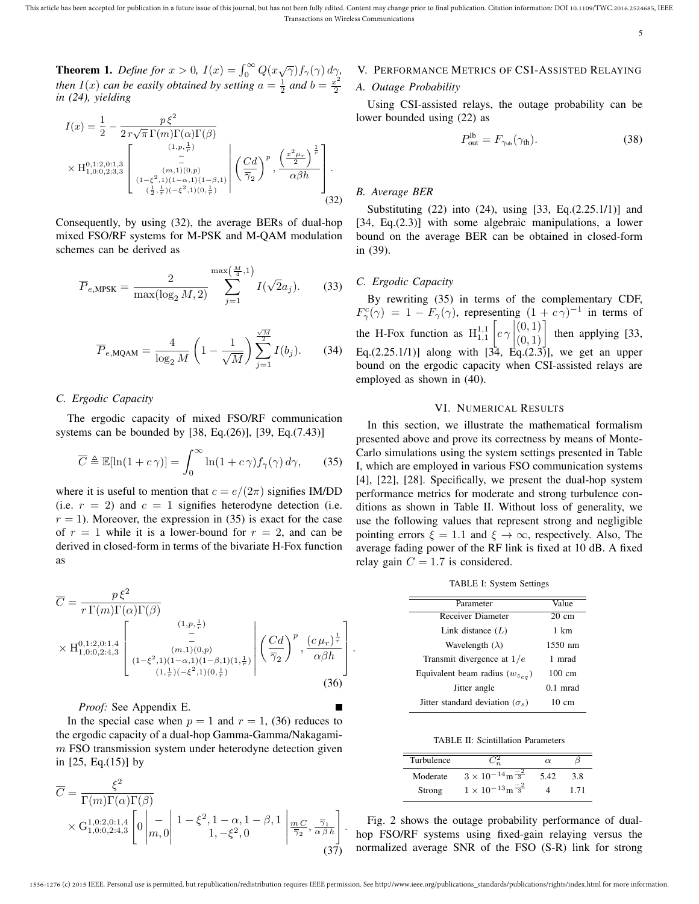**Theorem 1.** *Define for*  $x > 0$ ,  $I(x) = \int_0^\infty Q(x\sqrt{\gamma})f_\gamma(\gamma) d\gamma$ , *then*  $I(x)$  *can be easily obtained by setting*  $a = \frac{1}{2}$  *and*  $b = \frac{x^2}{2}$ 2 *in (24), yielding*

$$
I(x) = \frac{1}{2} - \frac{p\xi^2}{2r\sqrt{\pi} \Gamma(m)\Gamma(\alpha)\Gamma(\beta)}
$$
  
 
$$
\times \mathrm{H}_{1,0:0,2:3,3}^{0,1:2,0:1,3} \left[\begin{array}{c} (1,p,\frac{1}{r}) \\ - \\ - \\ (1-\xi^2,1)(1-\alpha,1)(1-\beta,1) \\ (\frac{1}{2},\frac{1}{r})(-\xi^2,1)(0,\frac{1}{r}) \end{array}\right] \left(\frac{Cd}{72}\right)^p, \left(\frac{x^2\mu_r}{\alpha\beta h}\right)^{\frac{1}{r}}.
$$
(32)

Consequently, by using (32), the average BERs of dual-hop mixed FSO/RF systems for M-PSK and M-QAM modulation schemes can be derived as

$$
\overline{P}_{e,\text{MPSK}} = \frac{2}{\max(\log_2 M, 2)} \sum_{j=1}^{\max(\frac{M}{4}, 1)} I(\sqrt{2}a_j).
$$
 (33)

$$
\overline{P}_{e,MQAM} = \frac{4}{\log_2 M} \left( 1 - \frac{1}{\sqrt{M}} \right) \sum_{j=1}^{\frac{\sqrt{M}}{2}} I(b_j).
$$
 (34)

#### *C. Ergodic Capacity*

The ergodic capacity of mixed FSO/RF communication systems can be bounded by [38, Eq.(26)], [39, Eq.(7.43)]

$$
\overline{C} \triangleq \mathbb{E}[\ln(1 + c\,\gamma)] = \int_0^\infty \ln(1 + c\,\gamma) f_\gamma(\gamma) \,d\gamma,\qquad(35)
$$

where it is useful to mention that  $c = e/(2\pi)$  signifies IM/DD (i.e.  $r = 2$ ) and  $c = 1$  signifies heterodyne detection (i.e.  $r = 1$ ). Moreover, the expression in (35) is exact for the case of  $r = 1$  while it is a lower-bound for  $r = 2$ , and can be derived in closed-form in terms of the bivariate H-Fox function as

$$
\overline{C} = \frac{p\xi^2}{r\Gamma(m)\Gamma(\alpha)\Gamma(\beta)}
$$
\n
$$
\times \mathcal{H}_{1,0:0,2:4,3}^{0,1:2,0:1,4} \left[ \begin{array}{c} (1,p,\frac{1}{r}) \\ - \\ (m,1)(0,p) \\ (1-\xi^2,1)(1-\alpha,1)(1-\beta,1)(1,\frac{1}{r}) \end{array} \middle| \left( \frac{Cd}{\overline{\gamma}_2} \right)^p, \frac{(c\,\mu_r)^{\frac{1}{r}}}{\alpha\beta h} \right]
$$
\n
$$
(1,\frac{1}{r})(-\xi^2,1)(0,\frac{1}{r})
$$
\n(36)

*Proof:* See Appendix E.

In the special case when  $p = 1$  and  $r = 1$ , (36) reduces to the ergodic capacity of a dual-hop Gamma-Gamma/Nakagami $m$  FSO transmission system under heterodyne detection given in [25, Eq.(15)] by

$$
\overline{C} = \frac{\xi^2}{\Gamma(m)\Gamma(\alpha)\Gamma(\beta)} \times G_{1,0:0,2:4,3}^{1,0:2,0:1,4} \left[0\left|\frac{1}{m,0}\right| 1 - \xi^2, 1 - \alpha, 1 - \beta, 1\left|\frac{m}{\overline{\gamma}_2}, \frac{\overline{\gamma}_1}{\alpha \beta h}\right|\right].
$$
\n(37)

## V. PERFORMANCE METRICS OF CSI-ASSISTED RELAYING

#### *A. Outage Probability*

Using CSI-assisted relays, the outage probability can be lower bounded using (22) as

$$
P_{\text{out}}^{\text{lb}} = F_{\gamma_{\text{ub}}}(\gamma_{\text{th}}). \tag{38}
$$

#### *B. Average BER*

Substituting (22) into (24), using [33, Eq.(2.25.1/1)] and [34, Eq.(2.3)] with some algebraic manipulations, a lower bound on the average BER can be obtained in closed-form in (39).

#### *C. Ergodic Capacity*

By rewriting (35) in terms of the complementary CDF,  $F_{\gamma}^{c}(\gamma) = 1 - F_{\gamma}(\gamma)$ , representing  $(1 + c\gamma)^{-1}$  in terms of the H-Fox function as  $H_{1,1}^{1,1}$  $\lceil c \gamma \rceil$ Eq.(2.25.1/1)] along with  $\begin{bmatrix} 1 & 0 & 1 \\ 3 & 4 & 6 \end{bmatrix}$ , we get an upper  $\begin{bmatrix} (0,1) \\ (0,1) \end{bmatrix}$  then applying [33, bound on the ergodic capacity when CSI-assisted relays are employed as shown in (40).

#### VI. NUMERICAL RESULTS

In this section, we illustrate the mathematical formalism presented above and prove its correctness by means of Monte-Carlo simulations using the system settings presented in Table I, which are employed in various FSO communication systems [4], [22], [28]. Specifically, we present the dual-hop system performance metrics for moderate and strong turbulence conditions as shown in Table II. Without loss of generality, we use the following values that represent strong and negligible pointing errors  $\xi = 1.1$  and  $\xi \to \infty$ , respectively. Also, The average fading power of the RF link is fixed at 10 dB. A fixed relay gain  $C = 1.7$  is considered.

|  | TABLE I: System Settings |
|--|--------------------------|
|  |                          |

| Parameter                                | Value            |
|------------------------------------------|------------------|
| <b>Receiver Diameter</b>                 | $20 \text{ cm}$  |
| Link distance $(L)$                      | 1 km             |
| Wavelength $(\lambda)$                   | 1550 nm          |
| Transmit divergence at $1/e$             | 1 mrad           |
| Equivalent beam radius $(w_{z_{eq}})$    | $100 \text{ cm}$ |
| Jitter angle                             | $0.1$ mrad       |
| Jitter standard deviation ( $\sigma_s$ ) | 10 cm            |

TABLE II: Scintillation Parameters

| Turbulence |                                      | $\alpha$ |      |
|------------|--------------------------------------|----------|------|
| Moderate   | $3 \times 10^{-14}$ m $\frac{-2}{3}$ | 5.42     | 3.8  |
| Strong     | $1 \times 10^{-13}$ m $\frac{-2}{3}$ |          | 1.71 |

Fig. 2 shows the outage probability performance of dualhop FSO/RF systems using fixed-gain relaying versus the normalized average SNR of the FSO (S-R) link for strong

.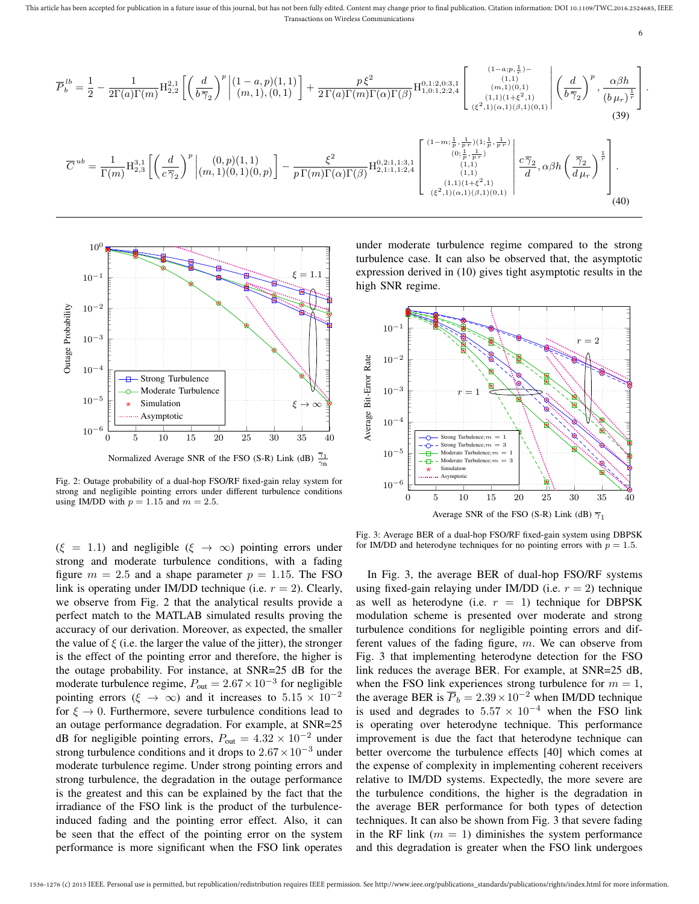This article has been accepted for publication in a future issue of this journal, but has not been fully edited. Content may change prior to final publication. Citation information: DOI 10.1109/TWC.2016.2524685, IEEE Transactions on Wireless Communications

6

$$
\overline{P}_{b}^{lb} = \frac{1}{2} - \frac{1}{2\Gamma(a)\Gamma(m)} \mathbf{H}_{2,2}^{2,1} \left[ \left( \frac{d}{b\overline{\gamma}_{2}} \right)^{p} \Big|_{(m,1),(0,1)}^{(1-a,p)(1,1)} \right] + \frac{p\xi^{2}}{2\Gamma(a)\Gamma(m)\Gamma(\alpha)\Gamma(\beta)} \mathbf{H}_{1,0:1,2:2,4}^{0,1:2,0:3,1} \left[ \begin{array}{c} (1-a;p,\frac{1}{r}) - (1-a;p,\frac{1}{r}) \\ (n,1),(0,1) \\ (1,1),(1+\xi^{2},1) \\ (\xi^{2},1)(\alpha,1)(\beta,1)(0,1)} \end{array} \right] \left( \frac{d}{b\overline{\gamma}_{2}} \right)^{p}, \frac{\alpha\beta h}{(b\mu_{r})^{\frac{1}{r}}} \right].
$$
\n
$$
\overline{C}^{ub} = \frac{1}{\Gamma(m)} \mathbf{H}_{2,3}^{3,1} \left[ \left( \frac{d}{c\overline{\gamma}_{2}} \right)^{p} \Big|_{(m,1),(0,1),(0,p)}^{(0,p)(1,1)} \right] - \frac{\xi^{2}}{p\Gamma(m)\Gamma(\alpha)\Gamma(\beta)} \mathbf{H}_{2,1:1,1:2,4}^{0,2:1,1:3,1} \left[ \begin{array}{c} (1-m;\frac{1}{p},\frac{1}{p},\frac{1}{p}) \\ (1,1) \\ (1,1) \\ (1,1) \\ (1,1) \end{array} \right] \left( \frac{c\overline{\gamma}_{2}}{d}, \alpha\beta h \left( \frac{\overline{\gamma}_{2}}{d\mu_{r}} \right)^{\frac{1}{r}} \right].
$$
\n
$$
(40)
$$



Fig. 2: Outage probability of a dual-hop FSO/RF fixed-gain relay system for strong and negligible pointing errors under different turbulence conditions using IM/DD with  $p = 1.15$  and  $m = 2.5$ .

 $(\xi = 1.1)$  and negligible  $(\xi \rightarrow \infty)$  pointing errors under strong and moderate turbulence conditions, with a fading figure  $m = 2.5$  and a shape parameter  $p = 1.15$ . The FSO link is operating under IM/DD technique (i.e.  $r = 2$ ). Clearly, we observe from Fig. 2 that the analytical results provide a perfect match to the MATLAB simulated results proving the accuracy of our derivation. Moreover, as expected, the smaller the value of  $\xi$  (i.e. the larger the value of the jitter), the stronger is the effect of the pointing error and therefore, the higher is the outage probability. For instance, at SNR=25 dB for the moderate turbulence regime,  $P_{\text{out}} = 2.67 \times 10^{-3}$  for negligible pointing errors ( $\xi \rightarrow \infty$ ) and it increases to  $5.15 \times 10^{-2}$ for  $\xi \to 0$ . Furthermore, severe turbulence conditions lead to an outage performance degradation. For example, at SNR=25 dB for negligible pointing errors,  $P_{\text{out}} = 4.32 \times 10^{-2}$  under strong turbulence conditions and it drops to  $2.67 \times 10^{-3}$  under moderate turbulence regime. Under strong pointing errors and strong turbulence, the degradation in the outage performance is the greatest and this can be explained by the fact that the irradiance of the FSO link is the product of the turbulenceinduced fading and the pointing error effect. Also, it can be seen that the effect of the pointing error on the system performance is more significant when the FSO link operates under moderate turbulence regime compared to the strong turbulence case. It can also be observed that, the asymptotic expression derived in (10) gives tight asymptotic results in the high SNR regime.



Fig. 3: Average BER of a dual-hop FSO/RF fixed-gain system using DBPSK for IM/DD and heterodyne techniques for no pointing errors with  $p = 1.5$ .

In Fig. 3, the average BER of dual-hop FSO/RF systems using fixed-gain relaying under IM/DD (i.e.  $r = 2$ ) technique as well as heterodyne (i.e.  $r = 1$ ) technique for DBPSK modulation scheme is presented over moderate and strong turbulence conditions for negligible pointing errors and different values of the fading figure,  $m$ . We can observe from Fig. 3 that implementing heterodyne detection for the FSO link reduces the average BER. For example, at SNR=25 dB, when the FSO link experiences strong turbulence for  $m = 1$ , the average BER is  $\overline{P}_b = 2.39 \times 10^{-2}$  when IM/DD technique is used and degrades to  $5.57 \times 10^{-4}$  when the FSO link is operating over heterodyne technique. This performance improvement is due the fact that heterodyne technique can better overcome the turbulence effects [40] which comes at the expense of complexity in implementing coherent receivers relative to IM/DD systems. Expectedly, the more severe are the turbulence conditions, the higher is the degradation in the average BER performance for both types of detection techniques. It can also be shown from Fig. 3 that severe fading in the RF link  $(m = 1)$  diminishes the system performance and this degradation is greater when the FSO link undergoes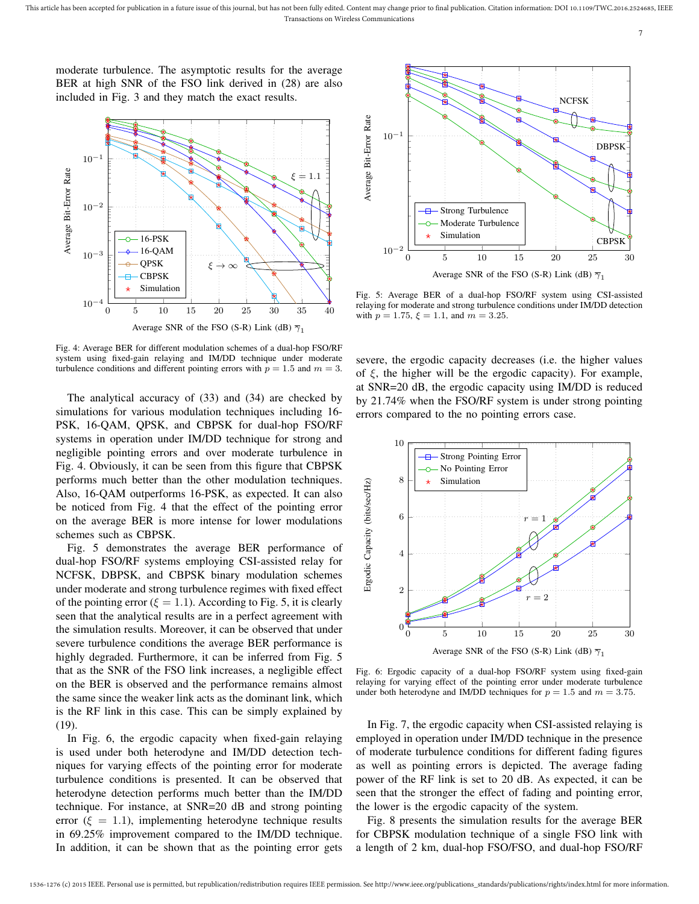moderate turbulence. The asymptotic results for the average BER at high SNR of the FSO link derived in (28) are also included in Fig. 3 and they match the exact results.



Fig. 4: Average BER for different modulation schemes of a dual-hop FSO/RF system using fixed-gain relaying and IM/DD technique under moderate turbulence conditions and different pointing errors with  $p = 1.5$  and  $m = 3$ .

The analytical accuracy of (33) and (34) are checked by simulations for various modulation techniques including 16- PSK, 16-QAM, QPSK, and CBPSK for dual-hop FSO/RF systems in operation under IM/DD technique for strong and negligible pointing errors and over moderate turbulence in Fig. 4. Obviously, it can be seen from this figure that CBPSK performs much better than the other modulation techniques. Also, 16-QAM outperforms 16-PSK, as expected. It can also be noticed from Fig. 4 that the effect of the pointing error on the average BER is more intense for lower modulations schemes such as CBPSK.

Fig. 5 demonstrates the average BER performance of dual-hop FSO/RF systems employing CSI-assisted relay for NCFSK, DBPSK, and CBPSK binary modulation schemes under moderate and strong turbulence regimes with fixed effect of the pointing error ( $\xi = 1.1$ ). According to Fig. 5, it is clearly seen that the analytical results are in a perfect agreement with the simulation results. Moreover, it can be observed that under severe turbulence conditions the average BER performance is highly degraded. Furthermore, it can be inferred from Fig. 5 that as the SNR of the FSO link increases, a negligible effect on the BER is observed and the performance remains almost the same since the weaker link acts as the dominant link, which is the RF link in this case. This can be simply explained by (19).

In Fig. 6, the ergodic capacity when fixed-gain relaying is used under both heterodyne and IM/DD detection techniques for varying effects of the pointing error for moderate turbulence conditions is presented. It can be observed that heterodyne detection performs much better than the IM/DD technique. For instance, at SNR=20 dB and strong pointing error ( $\xi = 1.1$ ), implementing heterodyne technique results in 69.25% improvement compared to the IM/DD technique. In addition, it can be shown that as the pointing error gets



Fig. 5: Average BER of a dual-hop FSO/RF system using CSI-assisted relaying for moderate and strong turbulence conditions under IM/DD detection with  $p = 1.75$ ,  $\xi = 1.1$ , and  $m = 3.25$ .

severe, the ergodic capacity decreases (i.e. the higher values of  $\xi$ , the higher will be the ergodic capacity). For example, at SNR=20 dB, the ergodic capacity using IM/DD is reduced by 21.74% when the FSO/RF system is under strong pointing errors compared to the no pointing errors case.



Fig. 6: Ergodic capacity of a dual-hop FSO/RF system using fixed-gain relaying for varying effect of the pointing error under moderate turbulence under both heterodyne and IM/DD techniques for  $p = 1.5$  and  $m = 3.75$ .

In Fig. 7, the ergodic capacity when CSI-assisted relaying is employed in operation under IM/DD technique in the presence of moderate turbulence conditions for different fading figures as well as pointing errors is depicted. The average fading power of the RF link is set to 20 dB. As expected, it can be seen that the stronger the effect of fading and pointing error, the lower is the ergodic capacity of the system.

Fig. 8 presents the simulation results for the average BER for CBPSK modulation technique of a single FSO link with a length of 2 km, dual-hop FSO/FSO, and dual-hop FSO/RF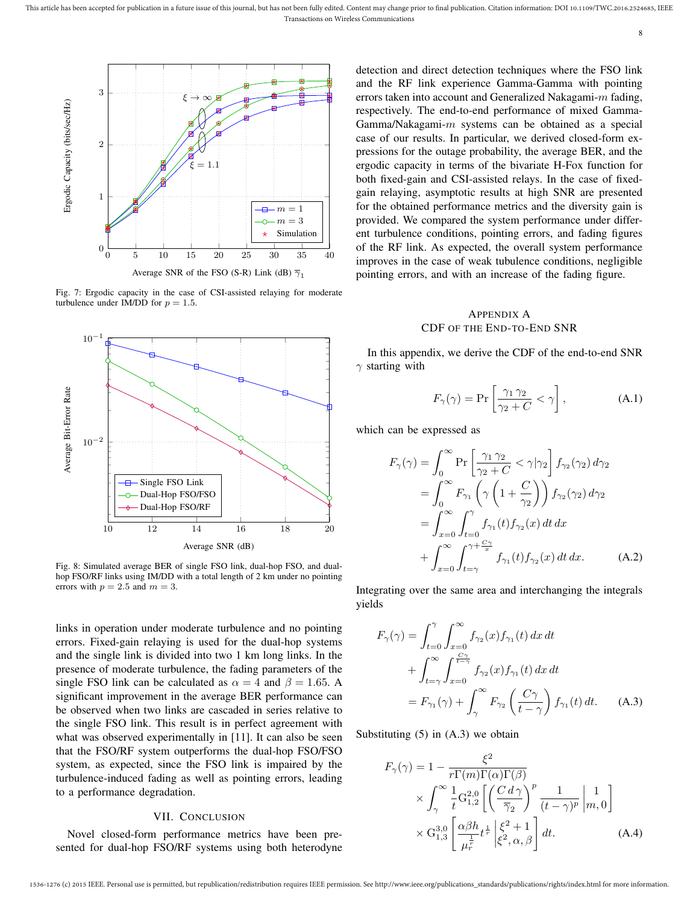

Fig. 7: Ergodic capacity in the case of CSI-assisted relaying for moderate turbulence under IM/DD for  $p = 1.5$ .



Fig. 8: Simulated average BER of single FSO link, dual-hop FSO, and dualhop FSO/RF links using IM/DD with a total length of 2 km under no pointing errors with  $p = 2.5$  and  $m = 3$ .

links in operation under moderate turbulence and no pointing errors. Fixed-gain relaying is used for the dual-hop systems and the single link is divided into two 1 km long links. In the presence of moderate turbulence, the fading parameters of the single FSO link can be calculated as  $\alpha = 4$  and  $\beta = 1.65$ . A significant improvement in the average BER performance can be observed when two links are cascaded in series relative to the single FSO link. This result is in perfect agreement with what was observed experimentally in [11]. It can also be seen that the FSO/RF system outperforms the dual-hop FSO/FSO system, as expected, since the FSO link is impaired by the turbulence-induced fading as well as pointing errors, leading to a performance degradation.

#### VII. CONCLUSION

Novel closed-form performance metrics have been presented for dual-hop FSO/RF systems using both heterodyne detection and direct detection techniques where the FSO link and the RF link experience Gamma-Gamma with pointing errors taken into account and Generalized Nakagami-m fading, respectively. The end-to-end performance of mixed Gamma-Gamma/Nakagami- $m$  systems can be obtained as a special case of our results. In particular, we derived closed-form expressions for the outage probability, the average BER, and the ergodic capacity in terms of the bivariate H-Fox function for both fixed-gain and CSI-assisted relays. In the case of fixedgain relaying, asymptotic results at high SNR are presented for the obtained performance metrics and the diversity gain is provided. We compared the system performance under different turbulence conditions, pointing errors, and fading figures of the RF link. As expected, the overall system performance improves in the case of weak tubulence conditions, negligible pointing errors, and with an increase of the fading figure.

#### APPENDIX A CDF OF THE END-TO-END SNR

In this appendix, we derive the CDF of the end-to-end SNR  $\gamma$  starting with

$$
F_{\gamma}(\gamma) = \Pr\left[\frac{\gamma_1 \gamma_2}{\gamma_2 + C} < \gamma\right],\tag{A.1}
$$

which can be expressed as

$$
F_{\gamma}(\gamma) = \int_0^{\infty} \Pr\left[\frac{\gamma_1 \gamma_2}{\gamma_2 + C} < \gamma | \gamma_2\right] f_{\gamma_2}(\gamma_2) d\gamma_2
$$
  
\n
$$
= \int_0^{\infty} F_{\gamma_1}\left(\gamma \left(1 + \frac{C}{\gamma_2}\right)\right) f_{\gamma_2}(\gamma_2) d\gamma_2
$$
  
\n
$$
= \int_{x=0}^{\infty} \int_{t=0}^{\gamma} f_{\gamma_1}(t) f_{\gamma_2}(x) dt dx
$$
  
\n
$$
+ \int_{x=0}^{\infty} \int_{t=\gamma}^{\gamma + \frac{C\gamma}{x}} f_{\gamma_1}(t) f_{\gamma_2}(x) dt dx.
$$
 (A.2)

Integrating over the same area and interchanging the integrals yields

$$
F_{\gamma}(\gamma) = \int_{t=0}^{\gamma} \int_{x=0}^{\infty} f_{\gamma_2}(x) f_{\gamma_1}(t) dx dt
$$
  
+ 
$$
\int_{t=\gamma}^{\infty} \int_{x=0}^{\frac{C\gamma}{t-\gamma}} f_{\gamma_2}(x) f_{\gamma_1}(t) dx dt
$$
  
= 
$$
F_{\gamma_1}(\gamma) + \int_{\gamma}^{\infty} F_{\gamma_2}(\frac{C\gamma}{t-\gamma}) f_{\gamma_1}(t) dt.
$$
 (A.3)

Substituting  $(5)$  in  $(A.3)$  we obtain

$$
F_{\gamma}(\gamma) = 1 - \frac{\xi^2}{r\Gamma(m)\Gamma(\alpha)\Gamma(\beta)}
$$
  
 
$$
\times \int_{\gamma}^{\infty} \frac{1}{t} G_{1,2}^{2,0} \left[ \left( \frac{C d\gamma}{\overline{\gamma}_2} \right)^p \frac{1}{(t - \gamma)^p} \middle| m, 0 \right]
$$
  
 
$$
\times G_{1,3}^{3,0} \left[ \frac{\alpha \beta h}{\mu_r^{\frac{1}{r}}} t^{\frac{1}{r}} \middle| \xi^2, \alpha, \beta \right] dt.
$$
 (A.4)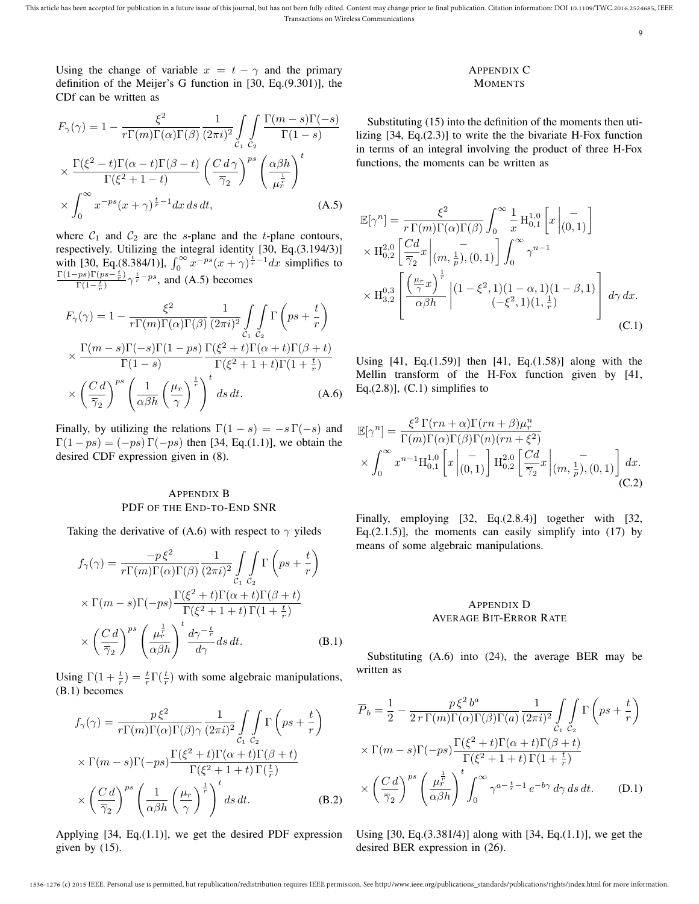Using the change of variable  $x = t - \gamma$  and the primary definition of the Meijer's G function in [30, Eq.(9.301)], the CDf can be written as

$$
F_{\gamma}(\gamma) = 1 - \frac{\xi^2}{r\Gamma(m)\Gamma(\alpha)\Gamma(\beta)} \frac{1}{(2\pi i)^2} \int_{C_1} \int_{C_2} \frac{\Gamma(m-s)\Gamma(-s)}{\Gamma(1-s)}
$$

$$
\times \frac{\Gamma(\xi^2 - t)\Gamma(\alpha - t)\Gamma(\beta - t)}{\Gamma(\xi^2 + 1 - t)} \left(\frac{C d \gamma}{\overline{\gamma}_2}\right)^{ps} \left(\frac{\alpha \beta h}{\mu_r^{\frac{1}{r}}}\right)^t
$$

$$
\times \int_0^{\infty} x^{-ps} (x + \gamma)^{\frac{t}{r} - 1} dx ds dt, \tag{A.5}
$$

where  $C_1$  and  $C_2$  are the s-plane and the t-plane contours, respectively. Utilizing the integral identity [30, Eq.(3.194/3)] with [30, Eq.(8.384/1)],  $\int_0^\infty x^{-ps} (x + \gamma)^{\frac{t}{r} - 1} dx$  simplifies to  $\Gamma(1-ps)\Gamma(ps-\frac{t}{r})$  $\frac{(p s)^{\Gamma(p s - \frac{t}{r})}}{\Gamma(1-\frac{t}{r})} \gamma^{\frac{t}{r}-ps}$ , and (A.5) becomes

$$
F_{\gamma}(\gamma) = 1 - \frac{\xi^2}{r\Gamma(m)\Gamma(\alpha)\Gamma(\beta)} \frac{1}{(2\pi i)^2} \int_{C_1} \Gamma\left(ps + \frac{t}{r}\right)
$$
  
 
$$
\times \frac{\Gamma(m-s)\Gamma(-s)\Gamma(1-ps)}{\Gamma(1-s)} \frac{\Gamma(\xi^2+t)\Gamma(\alpha+t)\Gamma(\beta+t)}{\Gamma(\xi^2+1+t)\Gamma(1+\frac{t}{r})}
$$
  
 
$$
\times \left(\frac{C d}{\overline{\gamma}_2}\right)^{ps} \left(\frac{1}{\alpha\beta h}\left(\frac{\mu_r}{\gamma}\right)^{\frac{1}{r}}\right)^t ds dt.
$$
 (A.6)

Finally, by utilizing the relations  $\Gamma(1-s) = -s \Gamma(-s)$  and  $\Gamma(1 - ps) = (-ps) \Gamma(-ps)$  then [34, Eq.(1.1)], we obtain the desired CDF expression given in (8).

#### APPENDIX B PDF OF THE END-TO-END SNR

Taking the derivative of (A.6) with respect to  $\gamma$  yileds

$$
f_{\gamma}(\gamma) = \frac{-p\xi^2}{r\Gamma(m)\Gamma(\alpha)\Gamma(\beta)} \frac{1}{(2\pi i)^2} \int_{C_1} \int_{C_2} \Gamma\left(ps + \frac{t}{r}\right)
$$

$$
\times \Gamma(m-s)\Gamma(-ps) \frac{\Gamma(\xi^2 + t)\Gamma(\alpha + t)\Gamma(\beta + t)}{\Gamma(\xi^2 + 1 + t)\Gamma(1 + \frac{t}{r})}
$$

$$
\times \left(\frac{C d}{\overline{\gamma}_2}\right)^{ps} \left(\frac{\mu_r^{\frac{1}{r}}}{\alpha \beta h}\right)^t \frac{d\gamma^{-\frac{t}{r}}}{d\gamma} ds dt. \tag{B.1}
$$

Using  $\Gamma(1+\frac{t}{r}) = \frac{t}{r}\Gamma(\frac{t}{r})$  with some algebraic manipulations, (B.1) becomes

$$
f_{\gamma}(\gamma) = \frac{p\xi^{2}}{r\Gamma(m)\Gamma(\alpha)\Gamma(\beta)\gamma} \frac{1}{(2\pi i)^{2}} \int_{C_{1}} \int_{C_{2}} \Gamma\left(ps + \frac{t}{r}\right)
$$

$$
\times \Gamma(m - s)\Gamma(-ps) \frac{\Gamma(\xi^{2} + t)\Gamma(\alpha + t)\Gamma(\beta + t)}{\Gamma(\xi^{2} + 1 + t)\Gamma(\frac{t}{r})}
$$

$$
\times \left(\frac{C d}{\overline{\gamma}_{2}}\right)^{ps} \left(\frac{1}{\alpha\beta h} \left(\frac{\mu_{r}}{\gamma}\right)^{\frac{1}{r}}\right)^{t} ds dt. \tag{B.2}
$$

Applying [34, Eq.(1.1)], we get the desired PDF expression given by (15).

#### APPENDIX C **MOMENTS**

9

Substituting (15) into the definition of the moments then utilizing [34, Eq.(2.3)] to write the the bivariate H-Fox function in terms of an integral involving the product of three H-Fox functions, the moments can be written as

$$
\mathbb{E}[\gamma^n] = \frac{\xi^2}{r \Gamma(m) \Gamma(\alpha) \Gamma(\beta)} \int_0^\infty \frac{1}{x} \mathcal{H}_{0,1}^{1,0} \left[ x \middle| \begin{matrix} - \\ (0,1) \end{matrix} \right]
$$

$$
\times \mathcal{H}_{0,2}^{2,0} \left[ \frac{Cd}{\overline{\gamma}_2} x \middle| \begin{matrix} - \\ (m,\frac{1}{p}), (0,1) \end{matrix} \right] \int_0^\infty \gamma^{n-1}
$$

$$
\times \mathcal{H}_{3,2}^{0,3} \left[ \frac{\left( \frac{\mu_r}{\gamma} x \right)^{\frac{1}{r}}}{\alpha \beta h} \middle| \begin{matrix} (1-\xi^2,1)(1-\alpha,1)(1-\beta,1) \\ (-\xi^2,1)(1,\frac{1}{r}) \end{matrix} \right] d\gamma dx.
$$
(C.1)

Using  $[41, Eq. (1.59)]$  then  $[41, Eq. (1.58)]$  along with the Mellin transform of the H-Fox function given by [41, Eq. $(2.8)$ ],  $(C.1)$  simplifies to

$$
\mathbb{E}[\gamma^{n}] = \frac{\xi^{2} \Gamma(rn+\alpha)\Gamma(rn+\beta)\mu_{r}^{n}}{\Gamma(m)\Gamma(\alpha)\Gamma(\beta)\Gamma(n)(rn+\xi^{2})} \times \int_{0}^{\infty} x^{n-1} \mathcal{H}_{0,1}^{1,0} \left[x\left| \begin{matrix} -\\(0,1) \end{matrix} \right| \mathcal{H}_{0,2}^{2,0} \left[\frac{Cd}{\overline{\gamma}_{2}}x\left| \begin{matrix} -\\(m,\frac{1}{p}), (0,1) \end{matrix} \right| \right] dx.
$$
\n(C.2)

Finally, employing [32, Eq.(2.8.4)] together with [32, Eq. $(2.1.5)$ ], the moments can easily simplify into  $(17)$  by means of some algebraic manipulations.

#### APPENDIX D AVERAGE BIT-ERROR RATE

Substituting (A.6) into (24), the average BER may be written as

$$
\overline{P}_b = \frac{1}{2} - \frac{p\xi^2 b^a}{2r\Gamma(m)\Gamma(\alpha)\Gamma(\beta)\Gamma(a)} \frac{1}{(2\pi i)^2} \int_{C_1} \int_{C_2} \Gamma\left(ps + \frac{t}{r}\right)
$$
\n
$$
\times \Gamma(m-s)\Gamma(-ps) \frac{\Gamma(\xi^2+t)\Gamma(\alpha+t)\Gamma(\beta+t)}{\Gamma(\xi^2+1+t)\Gamma(1+\frac{t}{r})}
$$
\n
$$
\times \left(\frac{C d}{\overline{\gamma}_2}\right)^{ps} \left(\frac{\mu_r^{\frac{1}{r}}}{\alpha \beta h}\right)^t \int_0^\infty \gamma^{a-\frac{t}{r}-1} e^{-b\gamma} d\gamma ds dt. \tag{D.1}
$$

Using [30, Eq.(3.381/4)] along with [34, Eq.(1.1)], we get the desired BER expression in (26).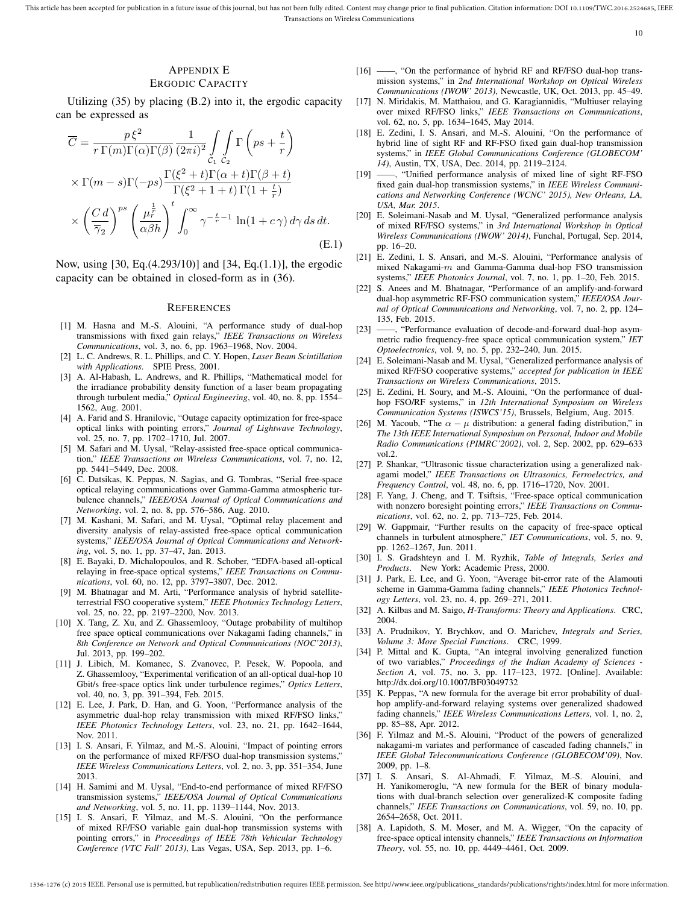# APPENDIX E

## ERGODIC CAPACITY

Utilizing (35) by placing (B.2) into it, the ergodic capacity can be expressed as

$$
\overline{C} = \frac{p\xi^2}{r\Gamma(m)\Gamma(\alpha)\Gamma(\beta)} \frac{1}{(2\pi i)^2} \int_{C_1} \Gamma\left(ps + \frac{t}{r}\right)
$$

$$
\times \Gamma(m-s)\Gamma(-ps) \frac{\Gamma(\xi^2 + t)\Gamma(\alpha + t)\Gamma(\beta + t)}{\Gamma(\xi^2 + 1 + t)\Gamma(1 + \frac{t}{r})}
$$

$$
\times \left(\frac{C d}{\overline{\gamma}_2}\right)^{ps} \left(\frac{\mu_r^{\frac{1}{r}}}{\alpha \beta h}\right)^t \int_0^\infty \gamma^{-\frac{t}{r} - 1} \ln(1 + c\gamma) d\gamma ds dt.
$$
(E.1)

Now, using [30, Eq.(4.293/10)] and [34, Eq.(1.1)], the ergodic capacity can be obtained in closed-form as in (36).

#### **REFERENCES**

- [1] M. Hasna and M.-S. Alouini, "A performance study of dual-hop transmissions with fixed gain relays," *IEEE Transactions on Wireless Communications*, vol. 3, no. 6, pp. 1963–1968, Nov. 2004.
- [2] L. C. Andrews, R. L. Phillips, and C. Y. Hopen, *Laser Beam Scintillation with Applications*. SPIE Press, 2001.
- [3] A. Al-Habash, L. Andrews, and R. Phillips, "Mathematical model for the irradiance probability density function of a laser beam propagating through turbulent media," *Optical Engineering*, vol. 40, no. 8, pp. 1554– 1562, Aug. 2001.
- [4] A. Farid and S. Hranilovic, "Outage capacity optimization for free-space optical links with pointing errors," *Journal of Lightwave Technology*, vol. 25, no. 7, pp. 1702–1710, Jul. 2007.
- [5] M. Safari and M. Uysal, "Relay-assisted free-space optical communication," *IEEE Transactions on Wireless Communications*, vol. 7, no. 12, pp. 5441–5449, Dec. 2008.
- [6] C. Datsikas, K. Peppas, N. Sagias, and G. Tombras, "Serial free-space optical relaying communications over Gamma-Gamma atmospheric turbulence channels," *IEEE/OSA Journal of Optical Communications and Networking*, vol. 2, no. 8, pp. 576–586, Aug. 2010.
- [7] M. Kashani, M. Safari, and M. Uysal, "Optimal relay placement and diversity analysis of relay-assisted free-space optical communication systems," *IEEE/OSA Journal of Optical Communications and Networking*, vol. 5, no. 1, pp. 37–47, Jan. 2013.
- [8] E. Bayaki, D. Michalopoulos, and R. Schober, "EDFA-based all-optical relaying in free-space optical systems," *IEEE Transactions on Communications*, vol. 60, no. 12, pp. 3797–3807, Dec. 2012.
- [9] M. Bhatnagar and M. Arti, "Performance analysis of hybrid satelliteterrestrial FSO cooperative system," *IEEE Photonics Technology Letters*, vol. 25, no. 22, pp. 2197–2200, Nov. 2013.
- [10] X. Tang, Z. Xu, and Z. Ghassemlooy, "Outage probability of multihop free space optical communications over Nakagami fading channels," in *8th Conference on Network and Optical Communications (NOC'2013)*, Jul. 2013, pp. 199–202.
- [11] J. Libich, M. Komanec, S. Zvanovec, P. Pesek, W. Popoola, and Z. Ghassemlooy, "Experimental verification of an all-optical dual-hop 10 Gbit/s free-space optics link under turbulence regimes," *Optics Letters*, vol. 40, no. 3, pp. 391–394, Feb. 2015.
- [12] E. Lee, J. Park, D. Han, and G. Yoon, "Performance analysis of the asymmetric dual-hop relay transmission with mixed RF/FSO links," *IEEE Photonics Technology Letters*, vol. 23, no. 21, pp. 1642–1644, Nov. 2011.
- [13] I. S. Ansari, F. Yilmaz, and M.-S. Alouini, "Impact of pointing errors on the performance of mixed RF/FSO dual-hop transmission systems," *IEEE Wireless Communications Letters*, vol. 2, no. 3, pp. 351–354, June 2013.
- [14] H. Samimi and M. Uysal, "End-to-end performance of mixed RF/FSO transmission systems," *IEEE/OSA Journal of Optical Communications and Networking*, vol. 5, no. 11, pp. 1139–1144, Nov. 2013.
- [15] I. S. Ansari, F. Yilmaz, and M.-S. Alouini, "On the performance of mixed RF/FSO variable gain dual-hop transmission systems with pointing errors," in *Proceedings of IEEE 78th Vehicular Technology Conference (VTC Fall' 2013)*, Las Vegas, USA, Sep. 2013, pp. 1–6.
- [16] -, "On the performance of hybrid RF and RF/FSO dual-hop transmission systems," in *2nd International Workshop on Optical Wireless Communications (IWOW' 2013)*, Newcastle, UK, Oct. 2013, pp. 45–49.
- [17] N. Miridakis, M. Matthaiou, and G. Karagiannidis, "Multiuser relaying over mixed RF/FSO links," *IEEE Transactions on Communications*, vol. 62, no. 5, pp. 1634–1645, May 2014.
- [18] E. Zedini, I. S. Ansari, and M.-S. Alouini, "On the performance of hybrid line of sight RF and RF-FSO fixed gain dual-hop transmission systems," in *IEEE Global Communications Conference (GLOBECOM' 14)*, Austin, TX, USA, Dec. 2014, pp. 2119–2124.
- [19] ——, "Unified performance analysis of mixed line of sight RF-FSO fixed gain dual-hop transmission systems," in *IEEE Wireless Communications and Networking Conference (WCNC' 2015), New Orleans, LA, USA, Mar. 2015*.
- [20] E. Soleimani-Nasab and M. Uysal, "Generalized performance analysis of mixed RF/FSO systems," in *3rd International Workshop in Optical Wireless Communications (IWOW' 2014)*, Funchal, Portugal, Sep. 2014, pp. 16–20.
- [21] E. Zedini, I. S. Ansari, and M.-S. Alouini, "Performance analysis of mixed Nakagami- $m$  and Gamma-Gamma dual-hop FSO transmission systems," *IEEE Photonics Journal*, vol. 7, no. 1, pp. 1–20, Feb. 2015.
- [22] S. Anees and M. Bhatnagar, "Performance of an amplify-and-forward dual-hop asymmetric RF-FSO communication system," *IEEE/OSA Journal of Optical Communications and Networking*, vol. 7, no. 2, pp. 124– 135, Feb. 2015.
- [23] "Performance evaluation of decode-and-forward dual-hop asymmetric radio frequency-free space optical communication system," *IET Optoelectronics*, vol. 9, no. 5, pp. 232–240, Jun. 2015.
- [24] E. Soleimani-Nasab and M. Uysal, "Generalized performance analysis of mixed RF/FSO cooperative systems," *accepted for publication in IEEE Transactions on Wireless Communications*, 2015.
- [25] E. Zedini, H. Soury, and M.-S. Alouini, "On the performance of dualhop FSO/RF systems," in *12th International Symposium on Wireless Communication Systems (ISWCS'15)*, Brussels, Belgium, Aug. 2015.
- [26] M. Yacoub, "The  $\alpha \mu$  distribution: a general fading distribution," in *The 13th IEEE International Symposium on Personal, Indoor and Mobile Radio Communications (PIMRC'2002)*, vol. 2, Sep. 2002, pp. 629–633 vol.2.
- [27] P. Shankar, "Ultrasonic tissue characterization using a generalized nakagami model," *IEEE Transactions on Ultrasonics, Ferroelectrics, and Frequency Control*, vol. 48, no. 6, pp. 1716–1720, Nov. 2001.
- [28] F. Yang, J. Cheng, and T. Tsiftsis, "Free-space optical communication with nonzero boresight pointing errors," *IEEE Transactions on Communications*, vol. 62, no. 2, pp. 713–725, Feb. 2014.
- [29] W. Gappmair, "Further results on the capacity of free-space optical channels in turbulent atmosphere," *IET Communications*, vol. 5, no. 9, pp. 1262–1267, Jun. 2011.
- [30] I. S. Gradshteyn and I. M. Ryzhik, *Table of Integrals, Series and Products*. New York: Academic Press, 2000.
- [31] J. Park, E. Lee, and G. Yoon, "Average bit-error rate of the Alamouti scheme in Gamma-Gamma fading channels," *IEEE Photonics Technology Letters*, vol. 23, no. 4, pp. 269–271, 2011.
- [32] A. Kilbas and M. Saigo, *H-Transforms: Theory and Applications*. CRC, 2004.
- [33] A. Prudnikov, Y. Brychkov, and O. Marichev, *Integrals and Series, Volume 3: More Special Functions*. CRC, 1999.
- [34] P. Mittal and K. Gupta, "An integral involving generalized function of two variables," *Proceedings of the Indian Academy of Sciences - Section A*, vol. 75, no. 3, pp. 117–123, 1972. [Online]. Available: http://dx.doi.org/10.1007/BF03049732
- [35] K. Peppas, "A new formula for the average bit error probability of dualhop amplify-and-forward relaying systems over generalized shadowed fading channels," *IEEE Wireless Communications Letters*, vol. 1, no. 2, pp. 85–88, Apr. 2012.
- [36] F. Yilmaz and M.-S. Alouini, "Product of the powers of generalized nakagami-m variates and performance of cascaded fading channels," in *IEEE Global Telecommunications Conference (GLOBECOM'09)*, Nov. 2009, pp. 1–8.
- [37] I. S. Ansari, S. Al-Ahmadi, F. Yilmaz, M.-S. Alouini, and H. Yanikomeroglu, "A new formula for the BER of binary modulations with dual-branch selection over generalized-K composite fading channels," *IEEE Transactions on Communications*, vol. 59, no. 10, pp. 2654–2658, Oct. 2011.
- [38] A. Lapidoth, S. M. Moser, and M. A. Wigger, "On the capacity of free-space optical intensity channels," *IEEE Transactions on Information Theory*, vol. 55, no. 10, pp. 4449–4461, Oct. 2009.